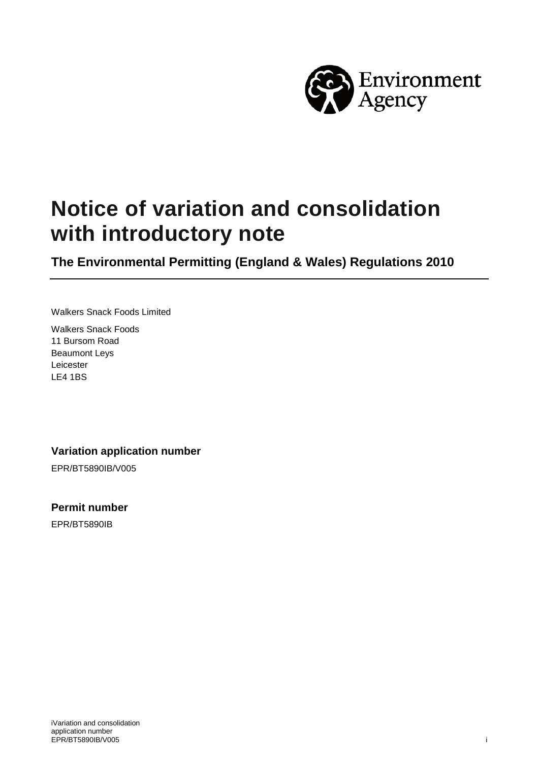

# **Notice of variation and consolidation with introductory note**

**The Environmental Permitting (England & Wales) Regulations 2010**

Walkers Snack Foods Limited

Walkers Snack Foods 11 Bursom Road Beaumont Leys Leicester LE4 1BS

#### **Variation application number**

EPR/BT5890IB/V005

#### **Permit number**

EPR/BT5890IB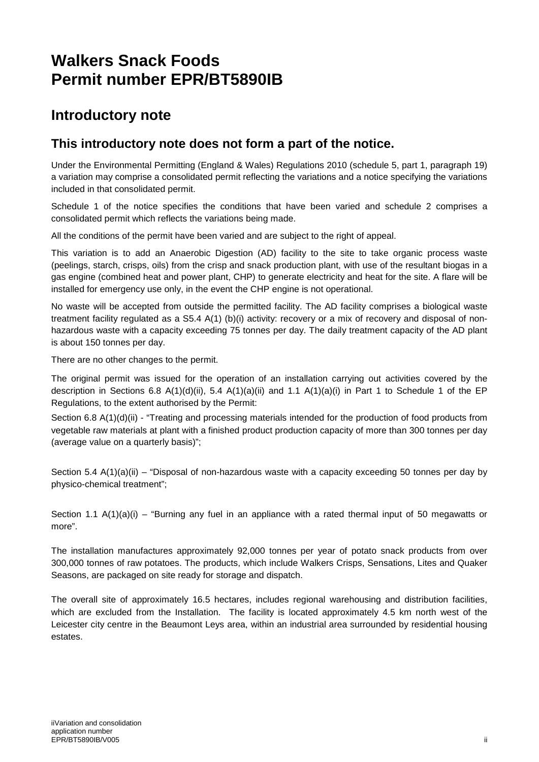## **Walkers Snack Foods Permit number EPR/BT5890IB**

### **Introductory note**

#### **This introductory note does not form a part of the notice.**

Under the Environmental Permitting (England & Wales) Regulations 2010 (schedule 5, part 1, paragraph 19) a variation may comprise a consolidated permit reflecting the variations and a notice specifying the variations included in that consolidated permit.

Schedule 1 of the notice specifies the conditions that have been varied and schedule 2 comprises a consolidated permit which reflects the variations being made.

All the conditions of the permit have been varied and are subject to the right of appeal.

This variation is to add an Anaerobic Digestion (AD) facility to the site to take organic process waste (peelings, starch, crisps, oils) from the crisp and snack production plant, with use of the resultant biogas in a gas engine (combined heat and power plant, CHP) to generate electricity and heat for the site. A flare will be installed for emergency use only, in the event the CHP engine is not operational.

No waste will be accepted from outside the permitted facility. The AD facility comprises a biological waste treatment facility regulated as a S5.4 A(1) (b)(i) activity: recovery or a mix of recovery and disposal of nonhazardous waste with a capacity exceeding 75 tonnes per day. The daily treatment capacity of the AD plant is about 150 tonnes per day.

There are no other changes to the permit.

The original permit was issued for the operation of an installation carrying out activities covered by the description in Sections 6.8  $A(1)(d)(ii)$ , 5.4  $A(1)(a)(ii)$  and 1.1  $A(1)(a)(i)$  in Part 1 to Schedule 1 of the EP Regulations, to the extent authorised by the Permit:

Section 6.8 A(1)(d)(ii) - "Treating and processing materials intended for the production of food products from vegetable raw materials at plant with a finished product production capacity of more than 300 tonnes per day (average value on a quarterly basis)";

Section 5.4 A(1)(a)(ii) – "Disposal of non-hazardous waste with a capacity exceeding 50 tonnes per day by physico-chemical treatment";

Section 1.1  $A(1)(a)(i)$  – "Burning any fuel in an appliance with a rated thermal input of 50 megawatts or more".

The installation manufactures approximately 92,000 tonnes per year of potato snack products from over 300,000 tonnes of raw potatoes. The products, which include Walkers Crisps, Sensations, Lites and Quaker Seasons, are packaged on site ready for storage and dispatch.

The overall site of approximately 16.5 hectares, includes regional warehousing and distribution facilities, which are excluded from the Installation. The facility is located approximately 4.5 km north west of the Leicester city centre in the Beaumont Leys area, within an industrial area surrounded by residential housing estates.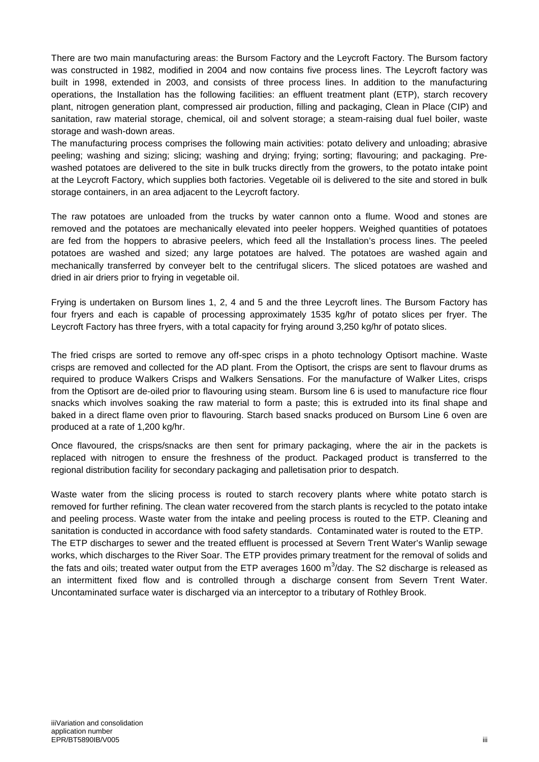There are two main manufacturing areas: the Bursom Factory and the Leycroft Factory. The Bursom factory was constructed in 1982, modified in 2004 and now contains five process lines. The Leycroft factory was built in 1998, extended in 2003, and consists of three process lines. In addition to the manufacturing operations, the Installation has the following facilities: an effluent treatment plant (ETP), starch recovery plant, nitrogen generation plant, compressed air production, filling and packaging, Clean in Place (CIP) and sanitation, raw material storage, chemical, oil and solvent storage; a steam-raising dual fuel boiler, waste storage and wash-down areas.

The manufacturing process comprises the following main activities: potato delivery and unloading; abrasive peeling; washing and sizing; slicing; washing and drying; frying; sorting; flavouring; and packaging. Prewashed potatoes are delivered to the site in bulk trucks directly from the growers, to the potato intake point at the Leycroft Factory, which supplies both factories. Vegetable oil is delivered to the site and stored in bulk storage containers, in an area adjacent to the Leycroft factory.

The raw potatoes are unloaded from the trucks by water cannon onto a flume. Wood and stones are removed and the potatoes are mechanically elevated into peeler hoppers. Weighed quantities of potatoes are fed from the hoppers to abrasive peelers, which feed all the Installation's process lines. The peeled potatoes are washed and sized; any large potatoes are halved. The potatoes are washed again and mechanically transferred by conveyer belt to the centrifugal slicers. The sliced potatoes are washed and dried in air driers prior to frying in vegetable oil.

Frying is undertaken on Bursom lines 1, 2, 4 and 5 and the three Leycroft lines. The Bursom Factory has four fryers and each is capable of processing approximately 1535 kg/hr of potato slices per fryer. The Leycroft Factory has three fryers, with a total capacity for frying around 3,250 kg/hr of potato slices.

The fried crisps are sorted to remove any off-spec crisps in a photo technology Optisort machine. Waste crisps are removed and collected for the AD plant. From the Optisort, the crisps are sent to flavour drums as required to produce Walkers Crisps and Walkers Sensations. For the manufacture of Walker Lites, crisps from the Optisort are de-oiled prior to flavouring using steam. Bursom line 6 is used to manufacture rice flour snacks which involves soaking the raw material to form a paste; this is extruded into its final shape and baked in a direct flame oven prior to flavouring. Starch based snacks produced on Bursom Line 6 oven are produced at a rate of 1,200 kg/hr.

Once flavoured, the crisps/snacks are then sent for primary packaging, where the air in the packets is replaced with nitrogen to ensure the freshness of the product. Packaged product is transferred to the regional distribution facility for secondary packaging and palletisation prior to despatch.

Waste water from the slicing process is routed to starch recovery plants where white potato starch is removed for further refining. The clean water recovered from the starch plants is recycled to the potato intake and peeling process. Waste water from the intake and peeling process is routed to the ETP. Cleaning and sanitation is conducted in accordance with food safety standards. Contaminated water is routed to the ETP. The ETP discharges to sewer and the treated effluent is processed at Severn Trent Water's Wanlip sewage works, which discharges to the River Soar. The ETP provides primary treatment for the removal of solids and the fats and oils; treated water output from the ETP averages 1600 m<sup>3</sup>/day. The S2 discharge is released as an intermittent fixed flow and is controlled through a discharge consent from Severn Trent Water. Uncontaminated surface water is discharged via an interceptor to a tributary of Rothley Brook.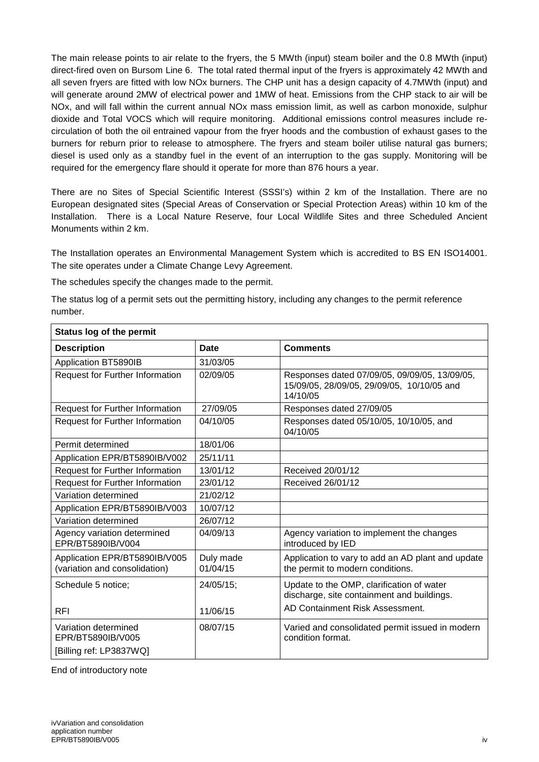The main release points to air relate to the fryers, the 5 MWth (input) steam boiler and the 0.8 MWth (input) direct-fired oven on Bursom Line 6. The total rated thermal input of the fryers is approximately 42 MWth and all seven fryers are fitted with low NOx burners. The CHP unit has a design capacity of 4.7MWth (input) and will generate around 2MW of electrical power and 1MW of heat. Emissions from the CHP stack to air will be NOx, and will fall within the current annual NOx mass emission limit, as well as carbon monoxide, sulphur dioxide and Total VOCS which will require monitoring. Additional emissions control measures include recirculation of both the oil entrained vapour from the fryer hoods and the combustion of exhaust gases to the burners for reburn prior to release to atmosphere. The fryers and steam boiler utilise natural gas burners; diesel is used only as a standby fuel in the event of an interruption to the gas supply. Monitoring will be required for the emergency flare should it operate for more than 876 hours a year.

There are no Sites of Special Scientific Interest (SSSI's) within 2 km of the Installation. There are no European designated sites (Special Areas of Conservation or Special Protection Areas) within 10 km of the Installation. There is a Local Nature Reserve, four Local Wildlife Sites and three Scheduled Ancient Monuments within 2 km.

The Installation operates an Environmental Management System which is accredited to BS EN ISO14001. The site operates under a Climate Change Levy Agreement.

The schedules specify the changes made to the permit.

The status log of a permit sets out the permitting history, including any changes to the permit reference number.

| <b>Status log of the permit</b>                                      |                       |                                                                                                         |  |  |
|----------------------------------------------------------------------|-----------------------|---------------------------------------------------------------------------------------------------------|--|--|
| <b>Description</b>                                                   | Date                  | <b>Comments</b>                                                                                         |  |  |
| Application BT5890IB                                                 | 31/03/05              |                                                                                                         |  |  |
| <b>Request for Further Information</b>                               | 02/09/05              | Responses dated 07/09/05, 09/09/05, 13/09/05,<br>15/09/05, 28/09/05, 29/09/05, 10/10/05 and<br>14/10/05 |  |  |
| <b>Request for Further Information</b>                               | 27/09/05              | Responses dated 27/09/05                                                                                |  |  |
| Request for Further Information                                      | 04/10/05              | Responses dated 05/10/05, 10/10/05, and<br>04/10/05                                                     |  |  |
| Permit determined                                                    | 18/01/06              |                                                                                                         |  |  |
| Application EPR/BT5890IB/V002                                        | 25/11/11              |                                                                                                         |  |  |
| <b>Request for Further Information</b>                               | 13/01/12              | Received 20/01/12                                                                                       |  |  |
| Request for Further Information                                      | 23/01/12              | Received 26/01/12                                                                                       |  |  |
| Variation determined                                                 | 21/02/12              |                                                                                                         |  |  |
| Application EPR/BT5890IB/V003                                        | 10/07/12              |                                                                                                         |  |  |
| Variation determined                                                 | 26/07/12              |                                                                                                         |  |  |
| Agency variation determined<br>EPR/BT5890IB/V004                     | 04/09/13              | Agency variation to implement the changes<br>introduced by IED                                          |  |  |
| Application EPR/BT5890IB/V005<br>(variation and consolidation)       | Duly made<br>01/04/15 | Application to vary to add an AD plant and update<br>the permit to modern conditions.                   |  |  |
| Schedule 5 notice;                                                   | 24/05/15;             | Update to the OMP, clarification of water<br>discharge, site containment and buildings.                 |  |  |
| <b>RFI</b>                                                           | 11/06/15              | AD Containment Risk Assessment.                                                                         |  |  |
| Variation determined<br>EPR/BT5890IB/V005<br>[Billing ref: LP3837WQ] | 08/07/15              | Varied and consolidated permit issued in modern<br>condition format.                                    |  |  |

End of introductory note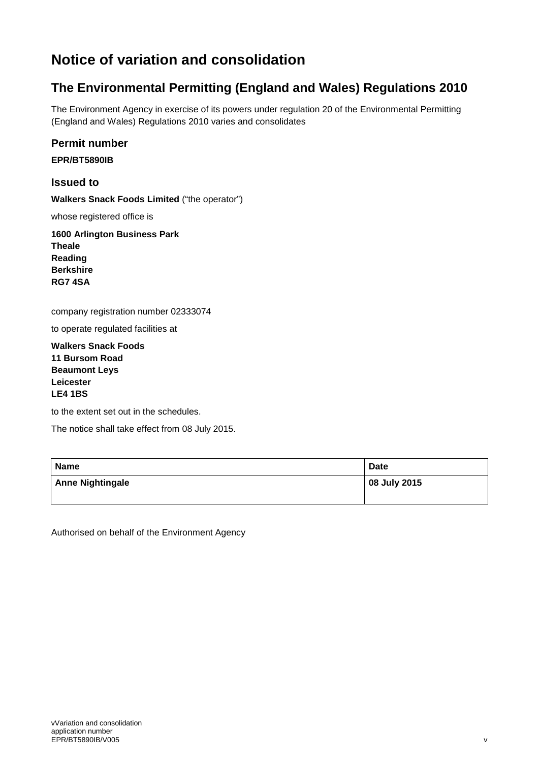## **Notice of variation and consolidation**

### **The Environmental Permitting (England and Wales) Regulations 2010**

The Environment Agency in exercise of its powers under regulation 20 of the Environmental Permitting (England and Wales) Regulations 2010 varies and consolidates

#### **Permit number**

**EPR/BT5890IB**

#### **Issued to**

**Walkers Snack Foods Limited** ("the operator")

whose registered office is

**1600 Arlington Business Park Theale Reading Berkshire RG7 4SA**

company registration number 02333074

to operate regulated facilities at

**Walkers Snack Foods 11 Bursom Road Beaumont Leys Leicester LE4 1BS**

to the extent set out in the schedules.

The notice shall take effect from 08 July 2015.

| <b>Name</b>             | <b>Date</b>  |
|-------------------------|--------------|
| <b>Anne Nightingale</b> | 08 July 2015 |

Authorised on behalf of the Environment Agency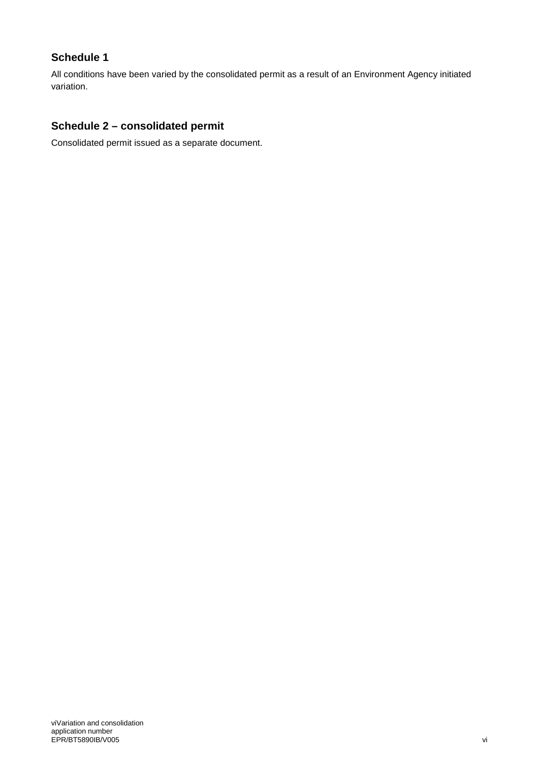#### **Schedule 1**

All conditions have been varied by the consolidated permit as a result of an Environment Agency initiated variation.

#### **Schedule 2 – consolidated permit**

Consolidated permit issued as a separate document.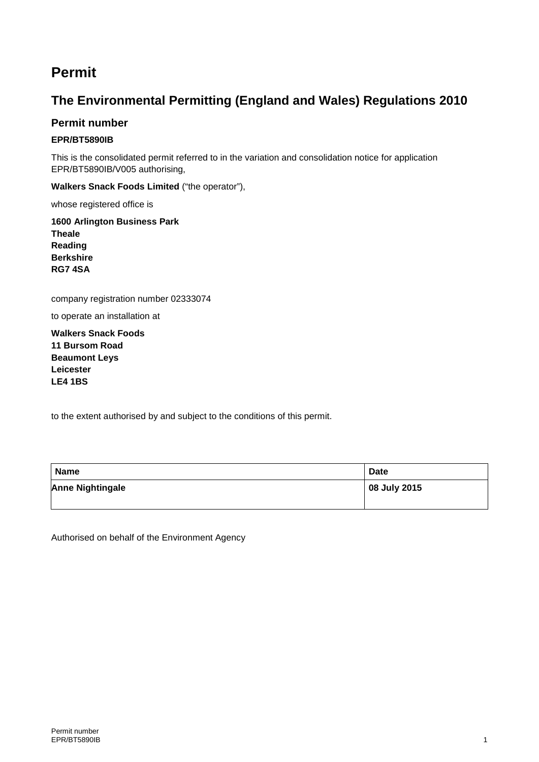### **Permit**

### **The Environmental Permitting (England and Wales) Regulations 2010**

#### **Permit number**

#### **EPR/BT5890IB**

This is the consolidated permit referred to in the variation and consolidation notice for application EPR/BT5890IB/V005 authorising,

**Walkers Snack Foods Limited** ("the operator"),

whose registered office is

**1600 Arlington Business Park Theale Reading Berkshire RG7 4SA**

company registration number 02333074

to operate an installation at

**Walkers Snack Foods 11 Bursom Road Beaumont Leys Leicester LE4 1BS**

to the extent authorised by and subject to the conditions of this permit.

| <b>Name</b>             | <b>Date</b>  |
|-------------------------|--------------|
| <b>Anne Nightingale</b> | 08 July 2015 |

Authorised on behalf of the Environment Agency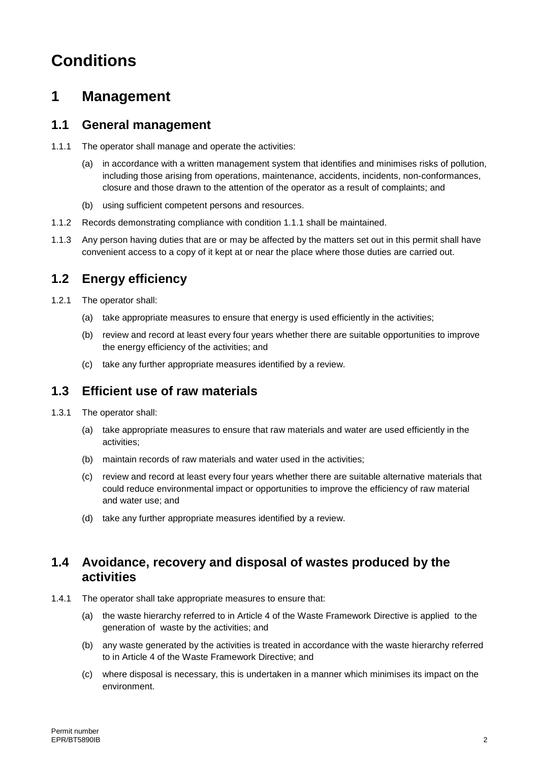# **Conditions**

## **1 Management**

#### **1.1 General management**

- 1.1.1 The operator shall manage and operate the activities:
	- (a) in accordance with a written management system that identifies and minimises risks of pollution, including those arising from operations, maintenance, accidents, incidents, non-conformances, closure and those drawn to the attention of the operator as a result of complaints; and
	- (b) using sufficient competent persons and resources.
- 1.1.2 Records demonstrating compliance with condition 1.1.1 shall be maintained.
- 1.1.3 Any person having duties that are or may be affected by the matters set out in this permit shall have convenient access to a copy of it kept at or near the place where those duties are carried out.

#### **1.2 Energy efficiency**

- 1.2.1 The operator shall:
	- (a) take appropriate measures to ensure that energy is used efficiently in the activities;
	- (b) review and record at least every four years whether there are suitable opportunities to improve the energy efficiency of the activities; and
	- (c) take any further appropriate measures identified by a review.

#### **1.3 Efficient use of raw materials**

- 1.3.1 The operator shall:
	- (a) take appropriate measures to ensure that raw materials and water are used efficiently in the activities;
	- (b) maintain records of raw materials and water used in the activities;
	- (c) review and record at least every four years whether there are suitable alternative materials that could reduce environmental impact or opportunities to improve the efficiency of raw material and water use; and
	- (d) take any further appropriate measures identified by a review.

#### **1.4 Avoidance, recovery and disposal of wastes produced by the activities**

- 1.4.1 The operator shall take appropriate measures to ensure that:
	- (a) the waste hierarchy referred to in Article 4 of the Waste Framework Directive is applied to the generation of waste by the activities; and
	- (b) any waste generated by the activities is treated in accordance with the waste hierarchy referred to in Article 4 of the Waste Framework Directive; and
	- (c) where disposal is necessary, this is undertaken in a manner which minimises its impact on the environment.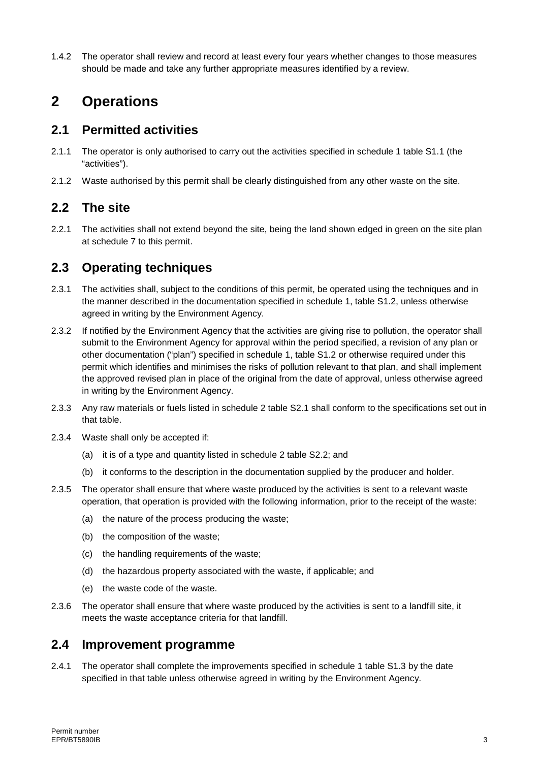1.4.2 The operator shall review and record at least every four years whether changes to those measures should be made and take any further appropriate measures identified by a review.

## **2 Operations**

#### **2.1 Permitted activities**

- 2.1.1 The operator is only authorised to carry out the activities specified in schedule 1 table S1.1 (the "activities").
- 2.1.2 Waste authorised by this permit shall be clearly distinguished from any other waste on the site.

#### **2.2 The site**

2.2.1 The activities shall not extend beyond the site, being the land shown edged in green on the site plan at schedule 7 to this permit.

#### **2.3 Operating techniques**

- 2.3.1 The activities shall, subject to the conditions of this permit, be operated using the techniques and in the manner described in the documentation specified in schedule 1, table S1.2, unless otherwise agreed in writing by the Environment Agency.
- 2.3.2 If notified by the Environment Agency that the activities are giving rise to pollution, the operator shall submit to the Environment Agency for approval within the period specified, a revision of any plan or other documentation ("plan") specified in schedule 1, table S1.2 or otherwise required under this permit which identifies and minimises the risks of pollution relevant to that plan, and shall implement the approved revised plan in place of the original from the date of approval, unless otherwise agreed in writing by the Environment Agency.
- 2.3.3 Any raw materials or fuels listed in schedule 2 table S2.1 shall conform to the specifications set out in that table.
- 2.3.4 Waste shall only be accepted if:
	- (a) it is of a type and quantity listed in schedule 2 table S2.2; and
	- (b) it conforms to the description in the documentation supplied by the producer and holder.
- 2.3.5 The operator shall ensure that where waste produced by the activities is sent to a relevant waste operation, that operation is provided with the following information, prior to the receipt of the waste:
	- (a) the nature of the process producing the waste;
	- (b) the composition of the waste;
	- (c) the handling requirements of the waste;
	- (d) the hazardous property associated with the waste, if applicable; and
	- (e) the waste code of the waste.
- 2.3.6 The operator shall ensure that where waste produced by the activities is sent to a landfill site, it meets the waste acceptance criteria for that landfill.

#### **2.4 Improvement programme**

2.4.1 The operator shall complete the improvements specified in schedule 1 table S1.3 by the date specified in that table unless otherwise agreed in writing by the Environment Agency.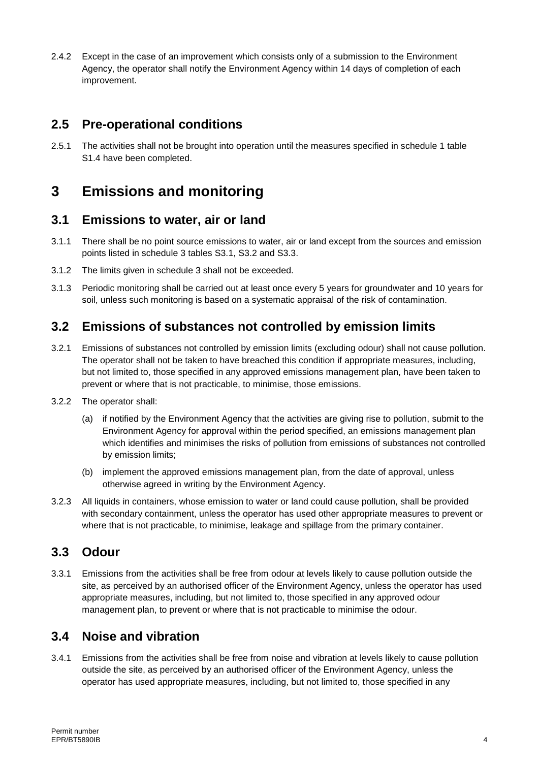2.4.2 Except in the case of an improvement which consists only of a submission to the Environment Agency, the operator shall notify the Environment Agency within 14 days of completion of each improvement.

### **2.5 Pre-operational conditions**

2.5.1 The activities shall not be brought into operation until the measures specified in schedule 1 table S1.4 have been completed.

## **3 Emissions and monitoring**

#### **3.1 Emissions to water, air or land**

- 3.1.1 There shall be no point source emissions to water, air or land except from the sources and emission points listed in schedule 3 tables S3.1, S3.2 and S3.3.
- 3.1.2 The limits given in schedule 3 shall not be exceeded.
- 3.1.3 Periodic monitoring shall be carried out at least once every 5 years for groundwater and 10 years for soil, unless such monitoring is based on a systematic appraisal of the risk of contamination.

### **3.2 Emissions of substances not controlled by emission limits**

- 3.2.1 Emissions of substances not controlled by emission limits (excluding odour) shall not cause pollution. The operator shall not be taken to have breached this condition if appropriate measures, including, but not limited to, those specified in any approved emissions management plan, have been taken to prevent or where that is not practicable, to minimise, those emissions.
- 3.2.2 The operator shall:
	- (a) if notified by the Environment Agency that the activities are giving rise to pollution, submit to the Environment Agency for approval within the period specified, an emissions management plan which identifies and minimises the risks of pollution from emissions of substances not controlled by emission limits;
	- (b) implement the approved emissions management plan, from the date of approval, unless otherwise agreed in writing by the Environment Agency.
- 3.2.3 All liquids in containers, whose emission to water or land could cause pollution, shall be provided with secondary containment, unless the operator has used other appropriate measures to prevent or where that is not practicable, to minimise, leakage and spillage from the primary container.

#### **3.3 Odour**

3.3.1 Emissions from the activities shall be free from odour at levels likely to cause pollution outside the site, as perceived by an authorised officer of the Environment Agency, unless the operator has used appropriate measures, including, but not limited to, those specified in any approved odour management plan, to prevent or where that is not practicable to minimise the odour.

### **3.4 Noise and vibration**

3.4.1 Emissions from the activities shall be free from noise and vibration at levels likely to cause pollution outside the site, as perceived by an authorised officer of the Environment Agency, unless the operator has used appropriate measures, including, but not limited to, those specified in any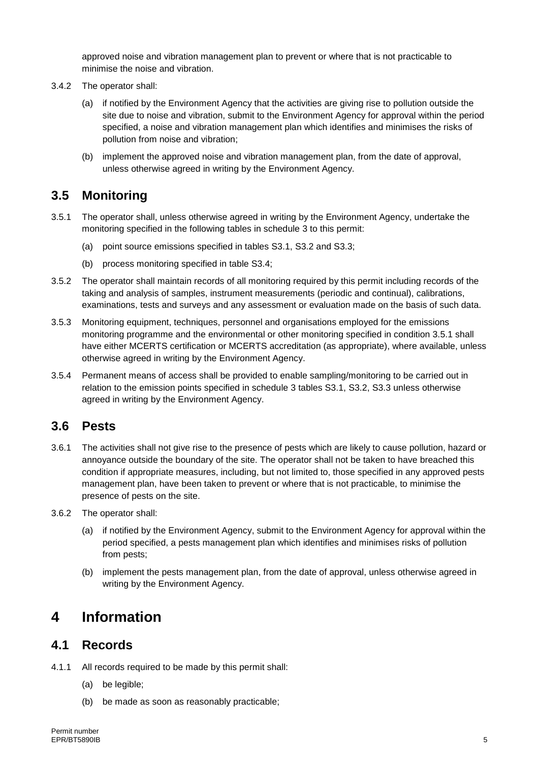approved noise and vibration management plan to prevent or where that is not practicable to minimise the noise and vibration.

- 3.4.2 The operator shall:
	- (a) if notified by the Environment Agency that the activities are giving rise to pollution outside the site due to noise and vibration, submit to the Environment Agency for approval within the period specified, a noise and vibration management plan which identifies and minimises the risks of pollution from noise and vibration;
	- (b) implement the approved noise and vibration management plan, from the date of approval, unless otherwise agreed in writing by the Environment Agency.

### **3.5 Monitoring**

- 3.5.1 The operator shall, unless otherwise agreed in writing by the Environment Agency, undertake the monitoring specified in the following tables in schedule 3 to this permit:
	- (a) point source emissions specified in tables S3.1, S3.2 and S3.3;
	- (b) process monitoring specified in table S3.4;
- 3.5.2 The operator shall maintain records of all monitoring required by this permit including records of the taking and analysis of samples, instrument measurements (periodic and continual), calibrations, examinations, tests and surveys and any assessment or evaluation made on the basis of such data.
- 3.5.3 Monitoring equipment, techniques, personnel and organisations employed for the emissions monitoring programme and the environmental or other monitoring specified in condition 3.5.1 shall have either MCERTS certification or MCERTS accreditation (as appropriate), where available, unless otherwise agreed in writing by the Environment Agency.
- 3.5.4 Permanent means of access shall be provided to enable sampling/monitoring to be carried out in relation to the emission points specified in schedule 3 tables S3.1, S3.2, S3.3 unless otherwise agreed in writing by the Environment Agency.

#### **3.6 Pests**

- 3.6.1 The activities shall not give rise to the presence of pests which are likely to cause pollution, hazard or annoyance outside the boundary of the site. The operator shall not be taken to have breached this condition if appropriate measures, including, but not limited to, those specified in any approved pests management plan, have been taken to prevent or where that is not practicable, to minimise the presence of pests on the site.
- 3.6.2 The operator shall:
	- (a) if notified by the Environment Agency, submit to the Environment Agency for approval within the period specified, a pests management plan which identifies and minimises risks of pollution from pests;
	- (b) implement the pests management plan, from the date of approval, unless otherwise agreed in writing by the Environment Agency.

## **4 Information**

#### **4.1 Records**

- 4.1.1 All records required to be made by this permit shall:
	- (a) be legible;
	- (b) be made as soon as reasonably practicable;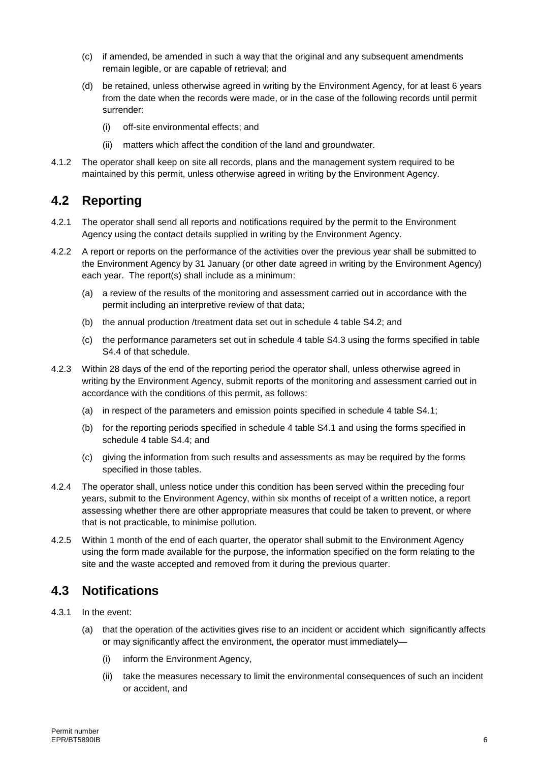- (c) if amended, be amended in such a way that the original and any subsequent amendments remain legible, or are capable of retrieval; and
- (d) be retained, unless otherwise agreed in writing by the Environment Agency, for at least 6 years from the date when the records were made, or in the case of the following records until permit surrender:
	- (i) off-site environmental effects; and
	- (ii) matters which affect the condition of the land and groundwater.
- 4.1.2 The operator shall keep on site all records, plans and the management system required to be maintained by this permit, unless otherwise agreed in writing by the Environment Agency.

#### **4.2 Reporting**

- 4.2.1 The operator shall send all reports and notifications required by the permit to the Environment Agency using the contact details supplied in writing by the Environment Agency.
- 4.2.2 A report or reports on the performance of the activities over the previous year shall be submitted to the Environment Agency by 31 January (or other date agreed in writing by the Environment Agency) each year. The report(s) shall include as a minimum:
	- (a) a review of the results of the monitoring and assessment carried out in accordance with the permit including an interpretive review of that data;
	- (b) the annual production /treatment data set out in schedule 4 table S4.2; and
	- (c) the performance parameters set out in schedule 4 table S4.3 using the forms specified in table S4.4 of that schedule.
- 4.2.3 Within 28 days of the end of the reporting period the operator shall, unless otherwise agreed in writing by the Environment Agency, submit reports of the monitoring and assessment carried out in accordance with the conditions of this permit, as follows:
	- (a) in respect of the parameters and emission points specified in schedule 4 table S4.1;
	- (b) for the reporting periods specified in schedule 4 table S4.1 and using the forms specified in schedule 4 table S4.4; and
	- (c) giving the information from such results and assessments as may be required by the forms specified in those tables.
- 4.2.4 The operator shall, unless notice under this condition has been served within the preceding four years, submit to the Environment Agency, within six months of receipt of a written notice, a report assessing whether there are other appropriate measures that could be taken to prevent, or where that is not practicable, to minimise pollution.
- 4.2.5 Within 1 month of the end of each quarter, the operator shall submit to the Environment Agency using the form made available for the purpose, the information specified on the form relating to the site and the waste accepted and removed from it during the previous quarter.

#### **4.3 Notifications**

- 4.3.1 In the event:
	- (a) that the operation of the activities gives rise to an incident or accident which significantly affects or may significantly affect the environment, the operator must immediately—
		- (i) inform the Environment Agency,
		- (ii) take the measures necessary to limit the environmental consequences of such an incident or accident, and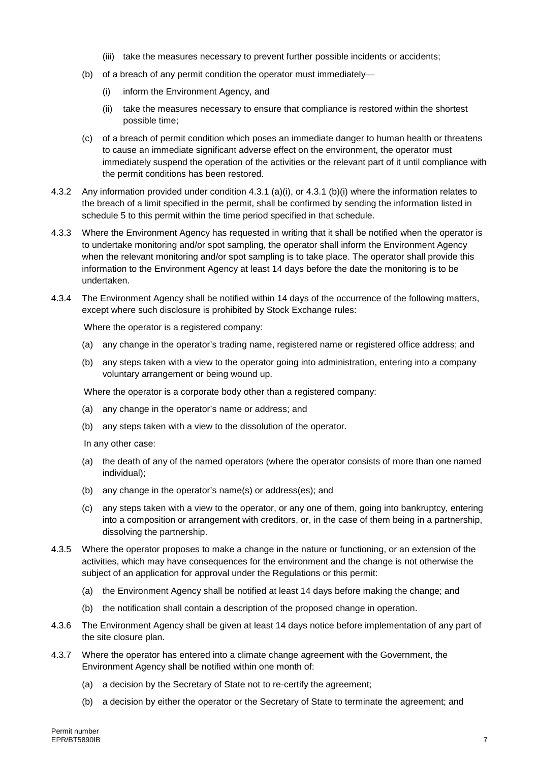- (iii) take the measures necessary to prevent further possible incidents or accidents;
- (b) of a breach of any permit condition the operator must immediately—
	- (i) inform the Environment Agency, and
	- (ii) take the measures necessary to ensure that compliance is restored within the shortest possible time;
- (c) of a breach of permit condition which poses an immediate danger to human health or threatens to cause an immediate significant adverse effect on the environment, the operator must immediately suspend the operation of the activities or the relevant part of it until compliance with the permit conditions has been restored.
- 4.3.2 Any information provided under condition 4.3.1 (a)(i), or 4.3.1 (b)(i) where the information relates to the breach of a limit specified in the permit, shall be confirmed by sending the information listed in schedule 5 to this permit within the time period specified in that schedule.
- 4.3.3 Where the Environment Agency has requested in writing that it shall be notified when the operator is to undertake monitoring and/or spot sampling, the operator shall inform the Environment Agency when the relevant monitoring and/or spot sampling is to take place. The operator shall provide this information to the Environment Agency at least 14 days before the date the monitoring is to be undertaken.
- 4.3.4 The Environment Agency shall be notified within 14 days of the occurrence of the following matters, except where such disclosure is prohibited by Stock Exchange rules:

Where the operator is a registered company:

- (a) any change in the operator's trading name, registered name or registered office address; and
- (b) any steps taken with a view to the operator going into administration, entering into a company voluntary arrangement or being wound up.

Where the operator is a corporate body other than a registered company:

- (a) any change in the operator's name or address; and
- (b) any steps taken with a view to the dissolution of the operator.

In any other case:

- (a) the death of any of the named operators (where the operator consists of more than one named individual);
- (b) any change in the operator's name(s) or address(es); and
- (c) any steps taken with a view to the operator, or any one of them, going into bankruptcy, entering into a composition or arrangement with creditors, or, in the case of them being in a partnership, dissolving the partnership.
- 4.3.5 Where the operator proposes to make a change in the nature or functioning, or an extension of the activities, which may have consequences for the environment and the change is not otherwise the subject of an application for approval under the Regulations or this permit:
	- (a) the Environment Agency shall be notified at least 14 days before making the change; and
	- (b) the notification shall contain a description of the proposed change in operation.
- 4.3.6 The Environment Agency shall be given at least 14 days notice before implementation of any part of the site closure plan.
- 4.3.7 Where the operator has entered into a climate change agreement with the Government, the Environment Agency shall be notified within one month of:
	- (a) a decision by the Secretary of State not to re-certify the agreement;
	- (b) a decision by either the operator or the Secretary of State to terminate the agreement; and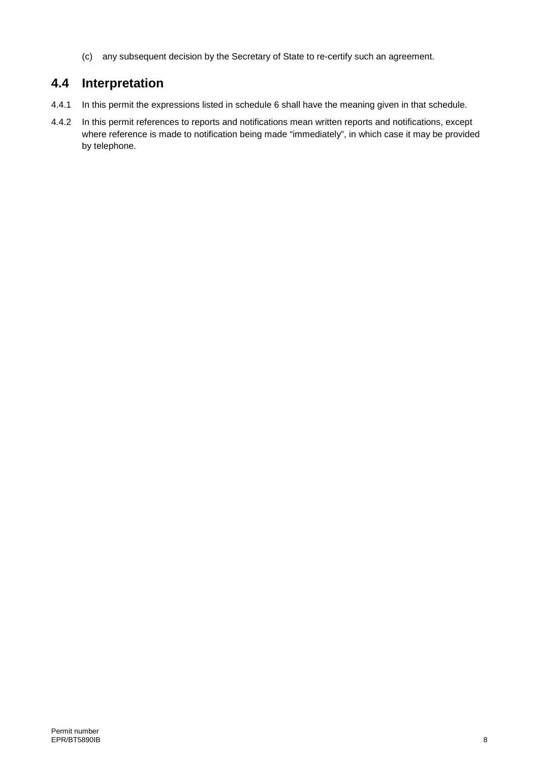(c) any subsequent decision by the Secretary of State to re-certify such an agreement.

### **4.4 Interpretation**

- 4.4.1 In this permit the expressions listed in schedule 6 shall have the meaning given in that schedule.
- 4.4.2 In this permit references to reports and notifications mean written reports and notifications, except where reference is made to notification being made "immediately", in which case it may be provided by telephone.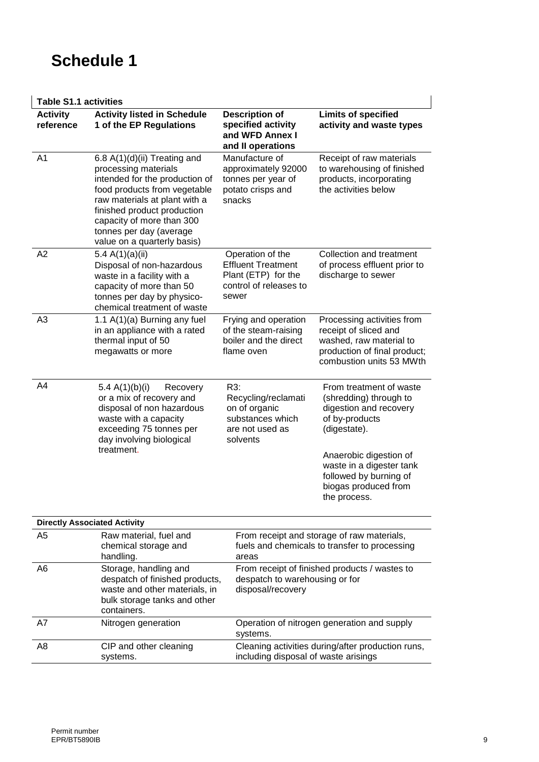# **Schedule 1**

#### **Table S1.1 activities**

|                              | <b>Table S1.1 activities</b>                                                                                                                                                                                                                                                  |                                                                                                         |                                                                                                                                            |  |  |  |
|------------------------------|-------------------------------------------------------------------------------------------------------------------------------------------------------------------------------------------------------------------------------------------------------------------------------|---------------------------------------------------------------------------------------------------------|--------------------------------------------------------------------------------------------------------------------------------------------|--|--|--|
| <b>Activity</b><br>reference | <b>Activity listed in Schedule</b><br>1 of the EP Regulations                                                                                                                                                                                                                 | <b>Description of</b><br>specified activity<br>and WFD Annex I<br>and II operations                     | <b>Limits of specified</b><br>activity and waste types                                                                                     |  |  |  |
| A <sub>1</sub>               | 6.8 A(1)(d)(ii) Treating and<br>processing materials<br>intended for the production of<br>food products from vegetable<br>raw materials at plant with a<br>finished product production<br>capacity of more than 300<br>tonnes per day (average<br>value on a quarterly basis) | Manufacture of<br>approximately 92000<br>tonnes per year of<br>potato crisps and<br>snacks              | Receipt of raw materials<br>to warehousing of finished<br>products, incorporating<br>the activities below                                  |  |  |  |
| A2                           | 5.4 $A(1)(a)(ii)$<br>Disposal of non-hazardous<br>waste in a facility with a<br>capacity of more than 50<br>tonnes per day by physico-<br>chemical treatment of waste                                                                                                         | Operation of the<br><b>Effluent Treatment</b><br>Plant (ETP) for the<br>control of releases to<br>sewer | Collection and treatment<br>of process effluent prior to<br>discharge to sewer                                                             |  |  |  |
| A <sub>3</sub>               | 1.1 A(1)(a) Burning any fuel<br>in an appliance with a rated<br>thermal input of 50<br>megawatts or more                                                                                                                                                                      | Frying and operation<br>of the steam-raising<br>boiler and the direct<br>flame oven                     | Processing activities from<br>receipt of sliced and<br>washed, raw material to<br>production of final product;<br>combustion units 53 MWth |  |  |  |
| A4                           | 5.4 $A(1)(b)(i)$<br>Recovery<br>or a mix of recovery and<br>disposal of non hazardous<br>waste with a capacity<br>exceeding 75 tonnes per<br>day involving biological                                                                                                         | R3:<br>Recycling/reclamati<br>on of organic<br>substances which<br>are not used as<br>solvents          | From treatment of waste<br>(shredding) through to<br>digestion and recovery<br>of by-products<br>(digestate).                              |  |  |  |
|                              | treatment.                                                                                                                                                                                                                                                                    |                                                                                                         | Anaerobic digestion of<br>waste in a digester tank<br>followed by burning of<br>biogas produced from<br>the process.                       |  |  |  |
|                              | <b>Directly Associated Activity</b>                                                                                                                                                                                                                                           |                                                                                                         |                                                                                                                                            |  |  |  |
| A5                           | Raw material, fuel and<br>chemical storage and<br>handling.                                                                                                                                                                                                                   | From receipt and storage of raw materials,<br>fuels and chemicals to transfer to processing<br>areas    |                                                                                                                                            |  |  |  |
| A6                           | Storage, handling and<br>despatch of finished products,<br>waste and other materials, in<br>bulk storage tanks and other<br>containers.                                                                                                                                       | From receipt of finished products / wastes to<br>despatch to warehousing or for<br>disposal/recovery    |                                                                                                                                            |  |  |  |
| A7                           | Nitrogen generation                                                                                                                                                                                                                                                           | systems.                                                                                                | Operation of nitrogen generation and supply                                                                                                |  |  |  |

Cleaning activities during/after production runs,

including disposal of waste arisings

A8 CIP and other cleaning systems.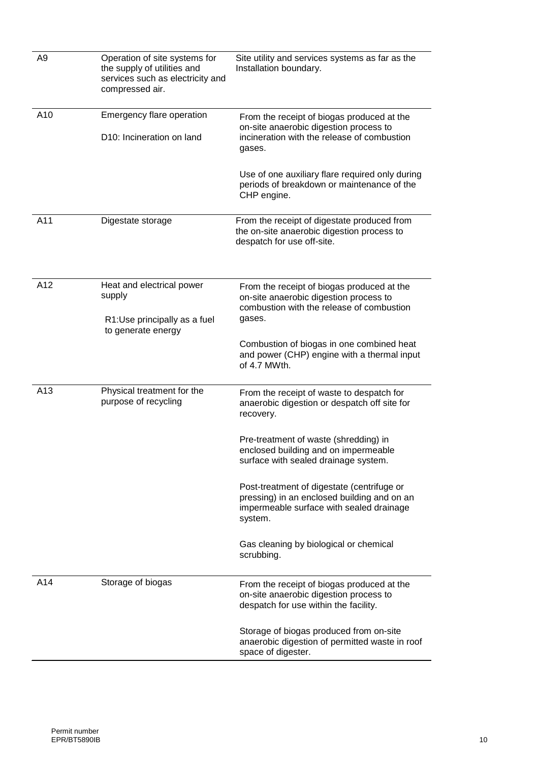| A <sub>9</sub> | Operation of site systems for<br>the supply of utilities and<br>services such as electricity and<br>compressed air. | Site utility and services systems as far as the<br>Installation boundary.                                                                        |  |  |
|----------------|---------------------------------------------------------------------------------------------------------------------|--------------------------------------------------------------------------------------------------------------------------------------------------|--|--|
| A10            | Emergency flare operation                                                                                           | From the receipt of biogas produced at the<br>on-site anaerobic digestion process to                                                             |  |  |
|                | D10: Incineration on land                                                                                           | incineration with the release of combustion<br>gases.                                                                                            |  |  |
|                |                                                                                                                     | Use of one auxiliary flare required only during<br>periods of breakdown or maintenance of the<br>CHP engine.                                     |  |  |
| A11            | Digestate storage                                                                                                   | From the receipt of digestate produced from<br>the on-site anaerobic digestion process to<br>despatch for use off-site.                          |  |  |
| A12            | Heat and electrical power<br>supply                                                                                 | From the receipt of biogas produced at the<br>on-site anaerobic digestion process to<br>combustion with the release of combustion                |  |  |
|                | R1:Use principally as a fuel<br>to generate energy                                                                  | gases.                                                                                                                                           |  |  |
|                |                                                                                                                     | Combustion of biogas in one combined heat<br>and power (CHP) engine with a thermal input<br>of 4.7 MWth.                                         |  |  |
| A13            | Physical treatment for the<br>purpose of recycling                                                                  | From the receipt of waste to despatch for<br>anaerobic digestion or despatch off site for<br>recovery.                                           |  |  |
|                |                                                                                                                     | Pre-treatment of waste (shredding) in<br>enclosed building and on impermeable<br>surface with sealed drainage system.                            |  |  |
|                |                                                                                                                     | Post-treatment of digestate (centrifuge or<br>pressing) in an enclosed building and on an<br>impermeable surface with sealed drainage<br>system. |  |  |
|                |                                                                                                                     | Gas cleaning by biological or chemical<br>scrubbing.                                                                                             |  |  |
| A14            | Storage of biogas                                                                                                   | From the receipt of biogas produced at the<br>on-site anaerobic digestion process to<br>despatch for use within the facility.                    |  |  |
|                |                                                                                                                     | Storage of biogas produced from on-site<br>anaerobic digestion of permitted waste in roof<br>space of digester.                                  |  |  |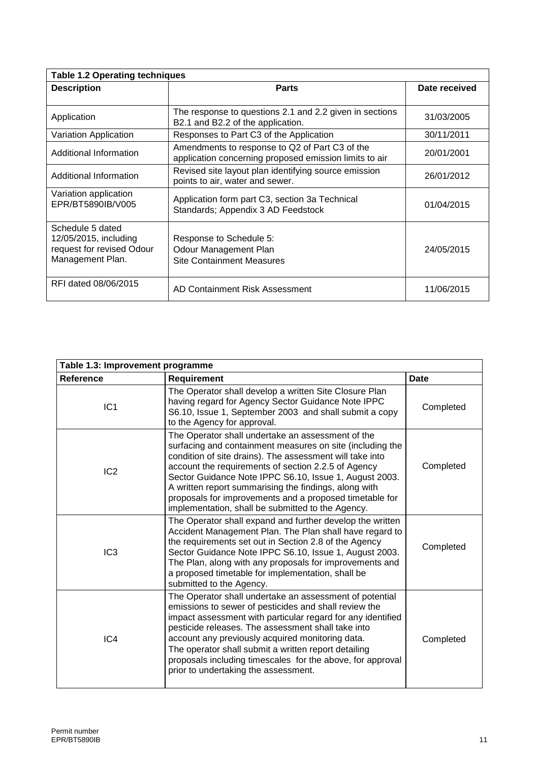| <b>Table 1.2 Operating techniques</b>                                                      |                                                                                                          |               |  |  |
|--------------------------------------------------------------------------------------------|----------------------------------------------------------------------------------------------------------|---------------|--|--|
| <b>Description</b>                                                                         | <b>Parts</b>                                                                                             | Date received |  |  |
|                                                                                            |                                                                                                          |               |  |  |
| Application                                                                                | The response to questions 2.1 and 2.2 given in sections<br>B2.1 and B2.2 of the application.             | 31/03/2005    |  |  |
| Variation Application                                                                      | Responses to Part C3 of the Application                                                                  | 30/11/2011    |  |  |
| Additional Information                                                                     | Amendments to response to Q2 of Part C3 of the<br>application concerning proposed emission limits to air | 20/01/2001    |  |  |
| Additional Information                                                                     | Revised site layout plan identifying source emission<br>points to air, water and sewer.                  | 26/01/2012    |  |  |
| Variation application<br>EPR/BT5890IB/V005                                                 | Application form part C3, section 3a Technical<br>Standards; Appendix 3 AD Feedstock                     | 01/04/2015    |  |  |
| Schedule 5 dated<br>12/05/2015, including<br>request for revised Odour<br>Management Plan. | Response to Schedule 5:<br>Odour Management Plan<br><b>Site Containment Measures</b>                     | 24/05/2015    |  |  |
| RFI dated 08/06/2015                                                                       | AD Containment Risk Assessment                                                                           | 11/06/2015    |  |  |

| Table 1.3: Improvement programme |                                                                                                                                                                                                                                                                                                                                                                                                                                                                      |             |  |  |
|----------------------------------|----------------------------------------------------------------------------------------------------------------------------------------------------------------------------------------------------------------------------------------------------------------------------------------------------------------------------------------------------------------------------------------------------------------------------------------------------------------------|-------------|--|--|
| <b>Reference</b>                 | <b>Requirement</b>                                                                                                                                                                                                                                                                                                                                                                                                                                                   | <b>Date</b> |  |  |
| IC <sub>1</sub>                  | The Operator shall develop a written Site Closure Plan<br>having regard for Agency Sector Guidance Note IPPC<br>S6.10, Issue 1, September 2003 and shall submit a copy<br>to the Agency for approval.                                                                                                                                                                                                                                                                | Completed   |  |  |
| IC <sub>2</sub>                  | The Operator shall undertake an assessment of the<br>surfacing and containment measures on site (including the<br>condition of site drains). The assessment will take into<br>account the requirements of section 2.2.5 of Agency<br>Sector Guidance Note IPPC S6.10, Issue 1, August 2003.<br>A written report summarising the findings, along with<br>proposals for improvements and a proposed timetable for<br>implementation, shall be submitted to the Agency. | Completed   |  |  |
| IC <sub>3</sub>                  | The Operator shall expand and further develop the written<br>Accident Management Plan. The Plan shall have regard to<br>the requirements set out in Section 2.8 of the Agency<br>Sector Guidance Note IPPC S6.10, Issue 1, August 2003.<br>The Plan, along with any proposals for improvements and<br>a proposed timetable for implementation, shall be<br>submitted to the Agency.                                                                                  | Completed   |  |  |
| IC <sub>4</sub>                  | The Operator shall undertake an assessment of potential<br>emissions to sewer of pesticides and shall review the<br>impact assessment with particular regard for any identified<br>pesticide releases. The assessment shall take into<br>account any previously acquired monitoring data.<br>The operator shall submit a written report detailing<br>proposals including timescales for the above, for approval<br>prior to undertaking the assessment.              | Completed   |  |  |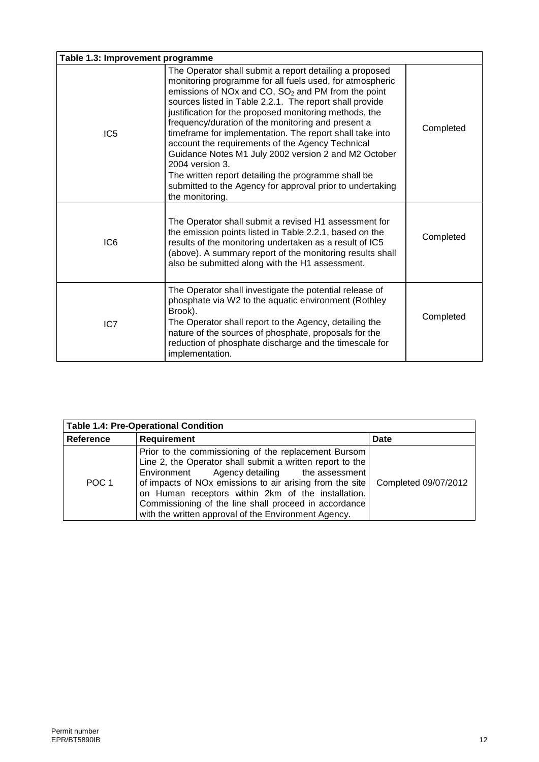|                 | Table 1.3: Improvement programme                                                                                                                                                                                                                                                                                                                                                                                                                                                                                                                                                                                                                                                             |           |  |  |
|-----------------|----------------------------------------------------------------------------------------------------------------------------------------------------------------------------------------------------------------------------------------------------------------------------------------------------------------------------------------------------------------------------------------------------------------------------------------------------------------------------------------------------------------------------------------------------------------------------------------------------------------------------------------------------------------------------------------------|-----------|--|--|
| IC <sub>5</sub> | The Operator shall submit a report detailing a proposed<br>monitoring programme for all fuels used, for atmospheric<br>emissions of NOx and CO, $SO2$ and PM from the point<br>sources listed in Table 2.2.1. The report shall provide<br>justification for the proposed monitoring methods, the<br>frequency/duration of the monitoring and present a<br>timeframe for implementation. The report shall take into<br>account the requirements of the Agency Technical<br>Guidance Notes M1 July 2002 version 2 and M2 October<br>$2004$ version $3.$<br>The written report detailing the programme shall be<br>submitted to the Agency for approval prior to undertaking<br>the monitoring. | Completed |  |  |
| IC <sub>6</sub> | The Operator shall submit a revised H1 assessment for<br>the emission points listed in Table 2.2.1, based on the<br>results of the monitoring undertaken as a result of IC5<br>(above). A summary report of the monitoring results shall<br>also be submitted along with the H1 assessment.                                                                                                                                                                                                                                                                                                                                                                                                  | Completed |  |  |
| IC7             | The Operator shall investigate the potential release of<br>phosphate via W2 to the aquatic environment (Rothley<br>Brook).<br>The Operator shall report to the Agency, detailing the<br>nature of the sources of phosphate, proposals for the<br>reduction of phosphate discharge and the timescale for<br>implementation.                                                                                                                                                                                                                                                                                                                                                                   | Completed |  |  |

| <b>Table 1.4: Pre-Operational Condition</b> |                                                                                                                                                                                                                                                                                                                                                                                                                            |      |  |
|---------------------------------------------|----------------------------------------------------------------------------------------------------------------------------------------------------------------------------------------------------------------------------------------------------------------------------------------------------------------------------------------------------------------------------------------------------------------------------|------|--|
| Reference                                   | <b>Requirement</b>                                                                                                                                                                                                                                                                                                                                                                                                         | Date |  |
| POC <sub>1</sub>                            | Prior to the commissioning of the replacement Bursom<br>Line 2, the Operator shall submit a written report to the<br>Environment Agency detailing the assessment<br>of impacts of NOx emissions to air arising from the site   Completed 09/07/2012<br>on Human receptors within 2km of the installation.<br>Commissioning of the line shall proceed in accordance<br>with the written approval of the Environment Agency. |      |  |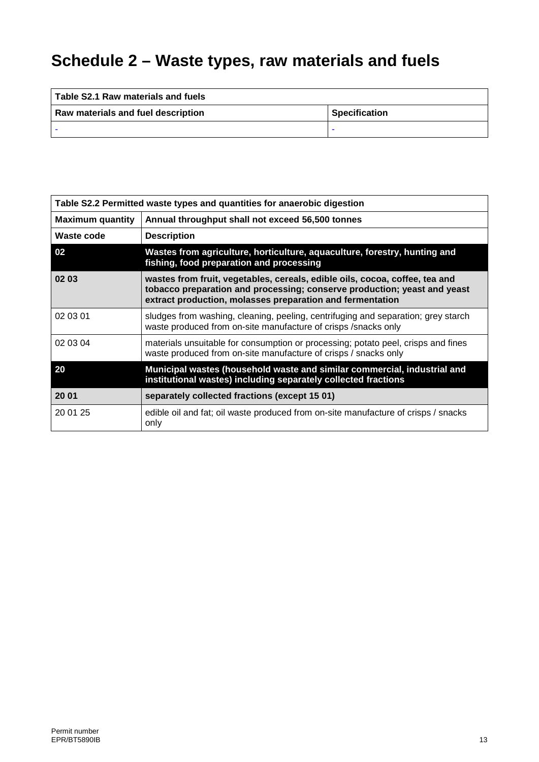# **Schedule 2 – Waste types, raw materials and fuels**

| Table S2.1 Raw materials and fuels |                      |  |  |
|------------------------------------|----------------------|--|--|
| Raw materials and fuel description | <b>Specification</b> |  |  |
|                                    | -                    |  |  |

| Table S2.2 Permitted waste types and quantities for anaerobic digestion |                                                                                                                                                                                                                      |  |  |
|-------------------------------------------------------------------------|----------------------------------------------------------------------------------------------------------------------------------------------------------------------------------------------------------------------|--|--|
| <b>Maximum quantity</b>                                                 | Annual throughput shall not exceed 56,500 tonnes                                                                                                                                                                     |  |  |
| Waste code                                                              | <b>Description</b>                                                                                                                                                                                                   |  |  |
| 02                                                                      | Wastes from agriculture, horticulture, aquaculture, forestry, hunting and<br>fishing, food preparation and processing                                                                                                |  |  |
| 02 03                                                                   | wastes from fruit, vegetables, cereals, edible oils, cocoa, coffee, tea and<br>tobacco preparation and processing; conserve production; yeast and yeast<br>extract production, molasses preparation and fermentation |  |  |
| 02 03 01                                                                | sludges from washing, cleaning, peeling, centrifuging and separation; grey starch<br>waste produced from on-site manufacture of crisps /snacks only                                                                  |  |  |
| 02 03 04                                                                | materials unsuitable for consumption or processing; potato peel, crisps and fines<br>waste produced from on-site manufacture of crisps / snacks only                                                                 |  |  |
| 20                                                                      | Municipal wastes (household waste and similar commercial, industrial and<br>institutional wastes) including separately collected fractions                                                                           |  |  |
| 20 01                                                                   | separately collected fractions (except 15 01)                                                                                                                                                                        |  |  |
| 20 01 25                                                                | edible oil and fat; oil waste produced from on-site manufacture of crisps / snacks<br>only                                                                                                                           |  |  |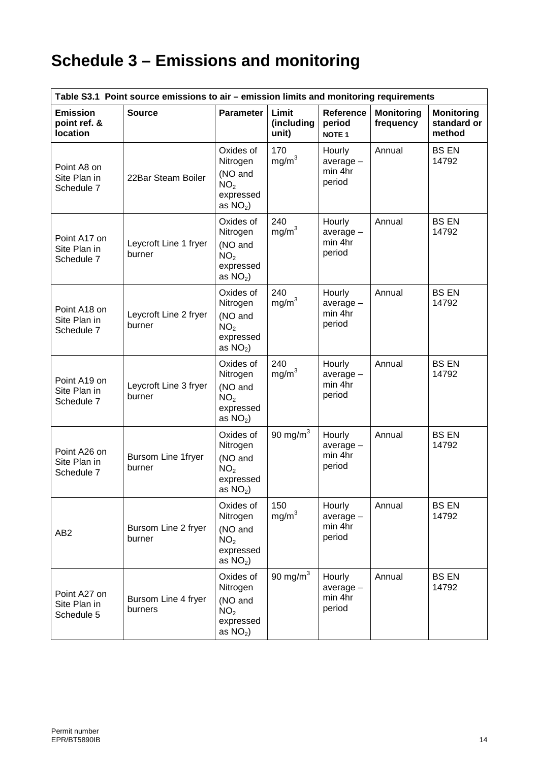# **Schedule 3 – Emissions and monitoring**

| Table S3.1 Point source emissions to air – emission limits and monitoring requirements |                                 |                                                                                |                              |                                            |                                |                                            |
|----------------------------------------------------------------------------------------|---------------------------------|--------------------------------------------------------------------------------|------------------------------|--------------------------------------------|--------------------------------|--------------------------------------------|
| <b>Emission</b><br>point ref. &<br><b>location</b>                                     | <b>Source</b>                   | <b>Parameter</b>                                                               | Limit<br>(including<br>unit) | Reference<br>period<br><b>NOTE 1</b>       | <b>Monitoring</b><br>frequency | <b>Monitoring</b><br>standard or<br>method |
| Point A8 on<br>Site Plan in<br>Schedule 7                                              | 22Bar Steam Boiler              | Oxides of<br>Nitrogen<br>(NO and<br>NO <sub>2</sub><br>expressed<br>as $NO2$ ) | 170<br>mg/m <sup>3</sup>     | Hourly<br>$average -$<br>min 4hr<br>period | Annual                         | <b>BS EN</b><br>14792                      |
| Point A17 on<br>Site Plan in<br>Schedule 7                                             | Leycroft Line 1 fryer<br>burner | Oxides of<br>Nitrogen<br>(NO and<br>NO <sub>2</sub><br>expressed<br>as $NO2$ ) | 240<br>mg/m <sup>3</sup>     | Hourly<br>$average -$<br>min 4hr<br>period | Annual                         | <b>BS EN</b><br>14792                      |
| Point A18 on<br>Site Plan in<br>Schedule 7                                             | Leycroft Line 2 fryer<br>burner | Oxides of<br>Nitrogen<br>(NO and<br>NO <sub>2</sub><br>expressed<br>as $NO2$ ) | 240<br>mg/m <sup>3</sup>     | Hourly<br>average -<br>min 4hr<br>period   | Annual                         | <b>BS EN</b><br>14792                      |
| Point A19 on<br>Site Plan in<br>Schedule 7                                             | Leycroft Line 3 fryer<br>burner | Oxides of<br>Nitrogen<br>(NO and<br>NO <sub>2</sub><br>expressed<br>as $NO2$ ) | 240<br>mg/m <sup>3</sup>     | Hourly<br>$average -$<br>min 4hr<br>period | Annual                         | <b>BS EN</b><br>14792                      |
| Point A26 on<br>Site Plan in<br>Schedule 7                                             | Bursom Line 1fryer<br>burner    | Oxides of<br>Nitrogen<br>(NO and<br>NO <sub>2</sub><br>expressed<br>as $NO2$ ) | 90 mg/ $m3$                  | Hourly<br>$average -$<br>min 4hr<br>period | Annual                         | <b>BS EN</b><br>14792                      |
| AB <sub>2</sub>                                                                        | Bursom Line 2 fryer<br>burner   | Oxides of<br>Nitrogen<br>(NO and<br>NO <sub>2</sub><br>expressed<br>as $NO2$ ) | 150<br>mg/m <sup>3</sup>     | Hourly<br>$average -$<br>min 4hr<br>period | Annual                         | <b>BS EN</b><br>14792                      |
| Point A27 on<br>Site Plan in<br>Schedule 5                                             | Bursom Line 4 fryer<br>burners  | Oxides of<br>Nitrogen<br>(NO and<br>NO <sub>2</sub><br>expressed<br>as $NO2$ ) | 90 mg/ $m3$                  | Hourly<br>$average -$<br>min 4hr<br>period | Annual                         | <b>BS EN</b><br>14792                      |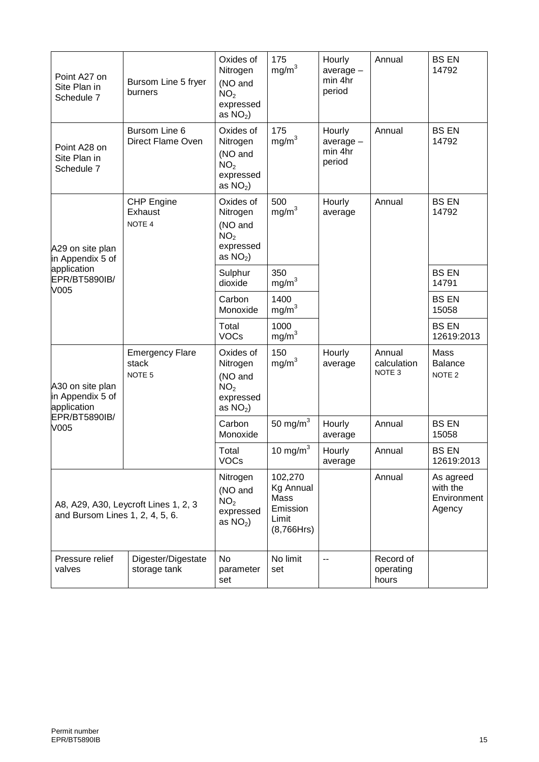| Point A27 on<br>Site Plan in<br>Schedule 7          | Bursom Line 5 fryer<br>burners                       | Oxides of<br>Nitrogen<br>(NO and<br>NO <sub>2</sub><br>expressed<br>as $NO2$ ) | 175<br>mg/m <sup>3</sup>                                               | Hourly<br>$average -$<br>min 4hr<br>period | Annual                                     | <b>BS EN</b><br>14792                          |
|-----------------------------------------------------|------------------------------------------------------|--------------------------------------------------------------------------------|------------------------------------------------------------------------|--------------------------------------------|--------------------------------------------|------------------------------------------------|
| Point A28 on<br>Site Plan in<br>Schedule 7          | Bursom Line 6<br>Direct Flame Oven                   | Oxides of<br>Nitrogen<br>(NO and<br>NO <sub>2</sub><br>expressed<br>as $NO2$ ) | 175<br>mg/m <sup>3</sup>                                               | Hourly<br>$average -$<br>min 4hr<br>period | Annual                                     | <b>BS EN</b><br>14792                          |
| A29 on site plan<br>in Appendix 5 of                | <b>CHP Engine</b><br>Exhaust<br>NOTE 4               | Oxides of<br>Nitrogen<br>(NO and<br>NO <sub>2</sub><br>expressed<br>as $NO2$ ) | 500<br>mg/m <sup>3</sup>                                               | Hourly<br>average                          | Annual                                     | <b>BS EN</b><br>14792                          |
| application<br>EPR/BT5890IB/<br>V005                |                                                      | Sulphur<br>dioxide                                                             | 350<br>mg/m <sup>3</sup>                                               |                                            |                                            | <b>BS EN</b><br>14791                          |
|                                                     |                                                      | Carbon<br>Monoxide                                                             | 1400<br>$mg/m^3$                                                       |                                            |                                            | <b>BS EN</b><br>15058                          |
|                                                     |                                                      | Total<br><b>VOCs</b>                                                           | 1000<br>mg/m <sup>3</sup>                                              |                                            |                                            | <b>BS EN</b><br>12619:2013                     |
| A30 on site plan<br>in Appendix 5 of<br>application | <b>Emergency Flare</b><br>stack<br>NOTE <sub>5</sub> | Oxides of<br>Nitrogen<br>(NO and<br>NO <sub>2</sub><br>expressed<br>as $NO2$ ) | 150<br>mg/m <sup>3</sup>                                               | Hourly<br>average                          | Annual<br>calculation<br>NOTE <sub>3</sub> | Mass<br><b>Balance</b><br>NOTE <sub>2</sub>    |
| EPR/BT5890IB/<br>V005                               |                                                      | Carbon<br>Monoxide                                                             | 50 mg/ $m3$                                                            | Hourly<br>average                          | Annual                                     | <b>BS EN</b><br>15058                          |
|                                                     |                                                      | Total<br><b>VOCs</b>                                                           | 10 mg/ $m3$                                                            | Hourly<br>average                          | Annual                                     | <b>BS EN</b><br>12619:2013                     |
| and Bursom Lines 1, 2, 4, 5, 6.                     | A8, A29, A30, Leycroft Lines 1, 2, 3                 | Nitrogen<br>(NO and<br>NO <sub>2</sub><br>expressed<br>as $NO2$ )              | 102,270<br><b>Kg Annual</b><br>Mass<br>Emission<br>Limit<br>(8,766Hrs) |                                            | Annual                                     | As agreed<br>with the<br>Environment<br>Agency |
| Pressure relief<br>valves                           | Digester/Digestate<br>storage tank                   | <b>No</b><br>parameter<br>set                                                  | No limit<br>set                                                        | $\sim$ $\sim$                              | Record of<br>operating<br>hours            |                                                |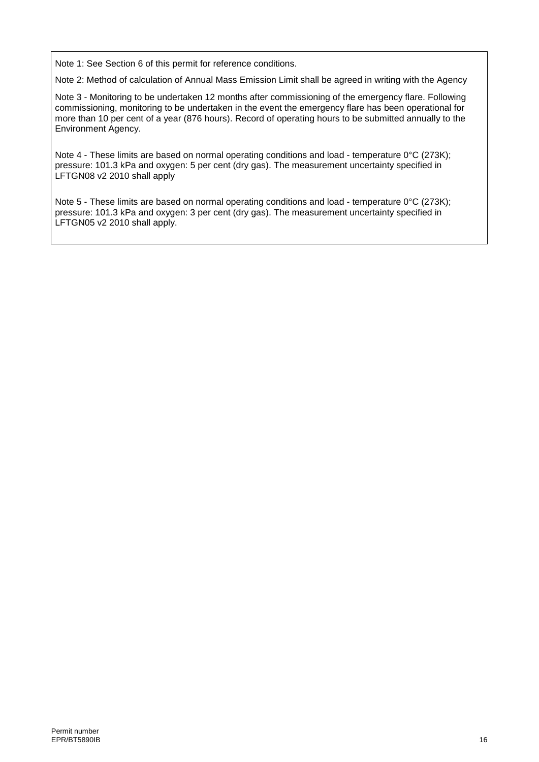Note 1: See Section 6 of this permit for reference conditions.

Note 2: Method of calculation of Annual Mass Emission Limit shall be agreed in writing with the Agency

Note 3 - Monitoring to be undertaken 12 months after commissioning of the emergency flare. Following commissioning, monitoring to be undertaken in the event the emergency flare has been operational for more than 10 per cent of a year (876 hours). Record of operating hours to be submitted annually to the Environment Agency.

Note 4 - These limits are based on normal operating conditions and load - temperature 0°C (273K); pressure: 101.3 kPa and oxygen: 5 per cent (dry gas). The measurement uncertainty specified in LFTGN08 v2 2010 shall apply

Note 5 - These limits are based on normal operating conditions and load - temperature 0°C (273K); pressure: 101.3 kPa and oxygen: 3 per cent (dry gas). The measurement uncertainty specified in LFTGN05 v2 2010 shall apply.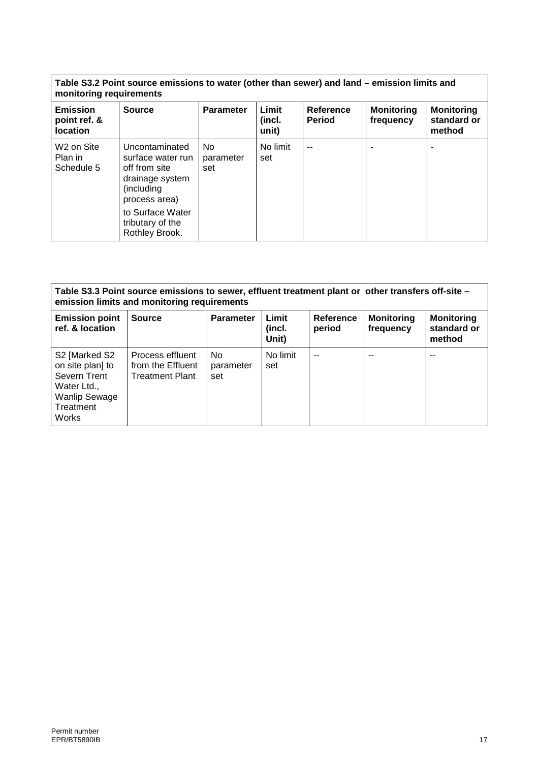| Table S3.2 Point source emissions to water (other than sewer) and land – emission limits and |  |
|----------------------------------------------------------------------------------------------|--|
| monitoring requirements                                                                      |  |

| <b>Emission</b><br>point ref. &<br><b>location</b> | <b>Source</b>                                                                                                                                                    | <b>Parameter</b>       | Limit<br>(incl.<br>unit) | <b>Reference</b><br><b>Period</b> | <b>Monitoring</b><br>frequency | <b>Monitoring</b><br>standard or<br>method |
|----------------------------------------------------|------------------------------------------------------------------------------------------------------------------------------------------------------------------|------------------------|--------------------------|-----------------------------------|--------------------------------|--------------------------------------------|
| W <sub>2</sub> on Site<br>Plan in<br>Schedule 5    | Uncontaminated<br>surface water run<br>off from site<br>drainage system<br>(including<br>process area)<br>to Surface Water<br>tributary of the<br>Rothley Brook. | No<br>parameter<br>set | No limit<br>set          | $-$                               |                                |                                            |

| Table S3.3 Point source emissions to sewer, effluent treatment plant or other transfers off-site -<br>emission limits and monitoring requirements |                                                                 |                         |                          |                     |                                |                                            |
|---------------------------------------------------------------------------------------------------------------------------------------------------|-----------------------------------------------------------------|-------------------------|--------------------------|---------------------|--------------------------------|--------------------------------------------|
| <b>Emission point</b><br>ref. & location                                                                                                          | <b>Source</b>                                                   | <b>Parameter</b>        | Limit<br>(incl.<br>Unit) | Reference<br>period | <b>Monitoring</b><br>frequency | <b>Monitoring</b><br>standard or<br>method |
| S2 [Marked S2<br>on site plan] to<br>Severn Trent<br>Water Ltd.,<br><b>Wanlip Sewage</b><br>Treatment<br><b>Works</b>                             | Process effluent<br>from the Effluent<br><b>Treatment Plant</b> | No.<br>parameter<br>set | No limit<br>set          | $-$                 | --                             | --                                         |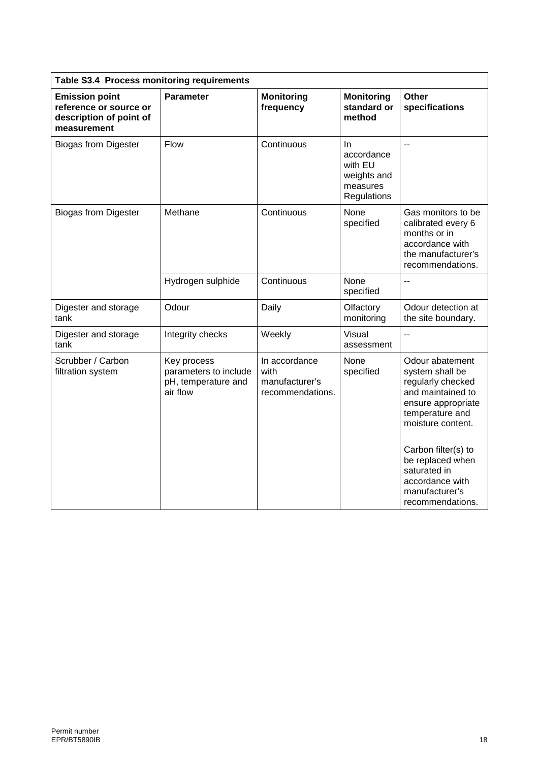| Table S3.4 Process monitoring requirements                                                |                                                                         |                                                             |                                                                              |                                                                                                                                                                                                                                                                |
|-------------------------------------------------------------------------------------------|-------------------------------------------------------------------------|-------------------------------------------------------------|------------------------------------------------------------------------------|----------------------------------------------------------------------------------------------------------------------------------------------------------------------------------------------------------------------------------------------------------------|
| <b>Emission point</b><br>reference or source or<br>description of point of<br>measurement | Parameter                                                               | <b>Monitoring</b><br>frequency                              | <b>Monitoring</b><br>standard or<br>method                                   | Other<br>specifications                                                                                                                                                                                                                                        |
| <b>Biogas from Digester</b>                                                               | Flow                                                                    | Continuous                                                  | <b>In</b><br>accordance<br>with EU<br>weights and<br>measures<br>Regulations | $\overline{a}$                                                                                                                                                                                                                                                 |
| <b>Biogas from Digester</b>                                                               | Methane                                                                 | Continuous                                                  | None<br>specified                                                            | Gas monitors to be<br>calibrated every 6<br>months or in<br>accordance with<br>the manufacturer's<br>recommendations.                                                                                                                                          |
|                                                                                           | Hydrogen sulphide                                                       | Continuous                                                  | None<br>specified                                                            |                                                                                                                                                                                                                                                                |
| Digester and storage<br>tank                                                              | Odour                                                                   | Daily                                                       | Olfactory<br>monitoring                                                      | Odour detection at<br>the site boundary.                                                                                                                                                                                                                       |
| Digester and storage<br>tank                                                              | Integrity checks                                                        | Weekly                                                      | Visual<br>assessment                                                         | $\overline{a}$                                                                                                                                                                                                                                                 |
| Scrubber / Carbon<br>filtration system                                                    | Key process<br>parameters to include<br>pH, temperature and<br>air flow | In accordance<br>with<br>manufacturer's<br>recommendations. | None<br>specified                                                            | Odour abatement<br>system shall be<br>regularly checked<br>and maintained to<br>ensure appropriate<br>temperature and<br>moisture content.<br>Carbon filter(s) to<br>be replaced when<br>saturated in<br>accordance with<br>manufacturer's<br>recommendations. |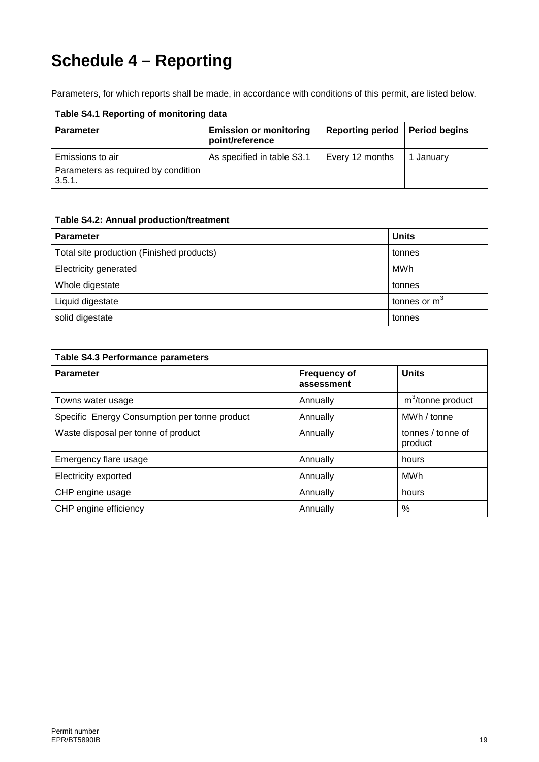# **Schedule 4 – Reporting**

Parameters, for which reports shall be made, in accordance with conditions of this permit, are listed below.

| Table S4.1 Reporting of monitoring data                           |                                                  |                                  |           |
|-------------------------------------------------------------------|--------------------------------------------------|----------------------------------|-----------|
| <b>Parameter</b>                                                  | <b>Emission or monitoring</b><br>point/reference | Reporting period   Period begins |           |
| Emissions to air<br>Parameters as required by condition<br>3.5.1. | As specified in table S3.1                       | Every 12 months                  | 1 January |

| Table S4.2: Annual production/treatment   |                |  |
|-------------------------------------------|----------------|--|
| <b>Parameter</b>                          | <b>Units</b>   |  |
| Total site production (Finished products) | tonnes         |  |
| Electricity generated                     | MWh            |  |
| Whole digestate                           | tonnes         |  |
| Liquid digestate                          | tonnes or $m3$ |  |
| solid digestate                           | tonnes         |  |

| <b>Table S4.3 Performance parameters</b>      |                                   |                               |  |
|-----------------------------------------------|-----------------------------------|-------------------------------|--|
| <b>Parameter</b>                              | <b>Frequency of</b><br>assessment | <b>Units</b>                  |  |
| Towns water usage                             | Annually                          | m <sup>3</sup> /tonne product |  |
| Specific Energy Consumption per tonne product | Annually                          | MWh / tonne                   |  |
| Waste disposal per tonne of product           | Annually                          | tonnes / tonne of<br>product  |  |
| Emergency flare usage                         | Annually                          | hours                         |  |
| Electricity exported                          | Annually                          | MWh                           |  |
| CHP engine usage                              | Annually                          | hours                         |  |
| CHP engine efficiency                         | Annually                          | $\%$                          |  |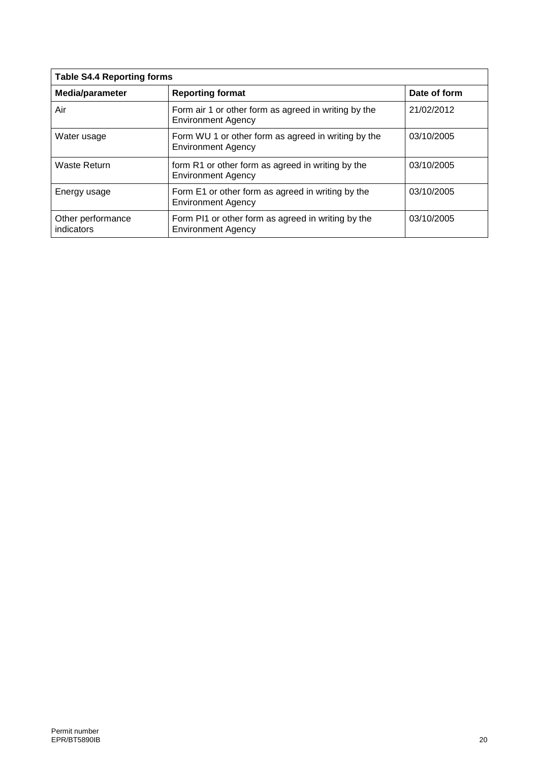| <b>Table S4.4 Reporting forms</b> |                                                                                   |              |  |
|-----------------------------------|-----------------------------------------------------------------------------------|--------------|--|
| Media/parameter                   | <b>Reporting format</b>                                                           | Date of form |  |
| Air                               | Form air 1 or other form as agreed in writing by the<br><b>Environment Agency</b> | 21/02/2012   |  |
| Water usage                       | Form WU 1 or other form as agreed in writing by the<br><b>Environment Agency</b>  | 03/10/2005   |  |
| Waste Return                      | form R1 or other form as agreed in writing by the<br><b>Environment Agency</b>    | 03/10/2005   |  |
| Energy usage                      | Form E1 or other form as agreed in writing by the<br><b>Environment Agency</b>    | 03/10/2005   |  |
| Other performance<br>indicators   | Form PI1 or other form as agreed in writing by the<br><b>Environment Agency</b>   | 03/10/2005   |  |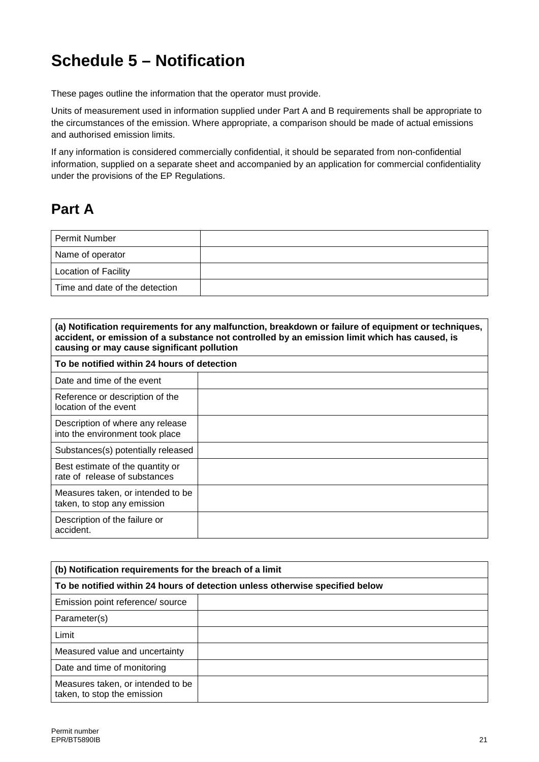# **Schedule 5 – Notification**

These pages outline the information that the operator must provide.

Units of measurement used in information supplied under Part A and B requirements shall be appropriate to the circumstances of the emission. Where appropriate, a comparison should be made of actual emissions and authorised emission limits.

If any information is considered commercially confidential, it should be separated from non-confidential information, supplied on a separate sheet and accompanied by an application for commercial confidentiality under the provisions of the EP Regulations.

## **Part A**

| Permit Number                  |  |
|--------------------------------|--|
| Name of operator               |  |
| <b>Location of Facility</b>    |  |
| Time and date of the detection |  |

| (a) Notification requirements for any malfunction, breakdown or failure of equipment or techniques,<br>accident, or emission of a substance not controlled by an emission limit which has caused, is<br>causing or may cause significant pollution |  |  |
|----------------------------------------------------------------------------------------------------------------------------------------------------------------------------------------------------------------------------------------------------|--|--|
| To be notified within 24 hours of detection                                                                                                                                                                                                        |  |  |
| Date and time of the event                                                                                                                                                                                                                         |  |  |
| Reference or description of the<br>location of the event                                                                                                                                                                                           |  |  |
| Description of where any release<br>into the environment took place                                                                                                                                                                                |  |  |
| Substances(s) potentially released                                                                                                                                                                                                                 |  |  |
| Best estimate of the quantity or<br>rate of release of substances                                                                                                                                                                                  |  |  |
| Measures taken, or intended to be<br>taken, to stop any emission                                                                                                                                                                                   |  |  |
| Description of the failure or<br>accident.                                                                                                                                                                                                         |  |  |

| (b) Notification requirements for the breach of a limit                      |  |  |
|------------------------------------------------------------------------------|--|--|
| To be notified within 24 hours of detection unless otherwise specified below |  |  |
| Emission point reference/ source                                             |  |  |
| Parameter(s)                                                                 |  |  |
| Limit                                                                        |  |  |
| Measured value and uncertainty                                               |  |  |
| Date and time of monitoring                                                  |  |  |
| Measures taken, or intended to be<br>taken, to stop the emission             |  |  |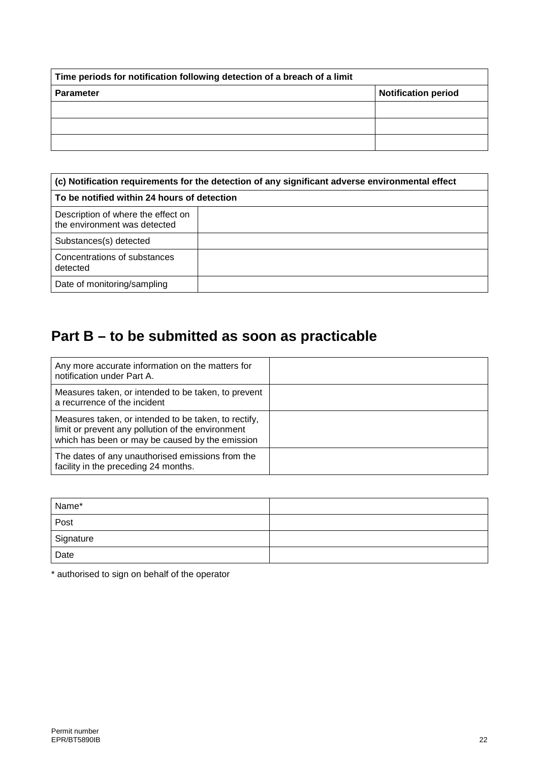| Time periods for notification following detection of a breach of a limit |                            |  |
|--------------------------------------------------------------------------|----------------------------|--|
| <b>Parameter</b>                                                         | <b>Notification period</b> |  |
|                                                                          |                            |  |
|                                                                          |                            |  |
|                                                                          |                            |  |

| (c) Notification requirements for the detection of any significant adverse environmental effect<br>To be notified within 24 hours of detection |  |  |
|------------------------------------------------------------------------------------------------------------------------------------------------|--|--|
|                                                                                                                                                |  |  |
| Substances(s) detected                                                                                                                         |  |  |
| Concentrations of substances<br>detected                                                                                                       |  |  |
| Date of monitoring/sampling                                                                                                                    |  |  |

## **Part B – to be submitted as soon as practicable**

| Any more accurate information on the matters for<br>notification under Part A.                                                                               |  |
|--------------------------------------------------------------------------------------------------------------------------------------------------------------|--|
| Measures taken, or intended to be taken, to prevent<br>a recurrence of the incident                                                                          |  |
| Measures taken, or intended to be taken, to rectify,<br>limit or prevent any pollution of the environment<br>which has been or may be caused by the emission |  |
| The dates of any unauthorised emissions from the<br>facility in the preceding 24 months.                                                                     |  |

| Name*     |  |
|-----------|--|
| Post      |  |
| Signature |  |
| Date      |  |

\* authorised to sign on behalf of the operator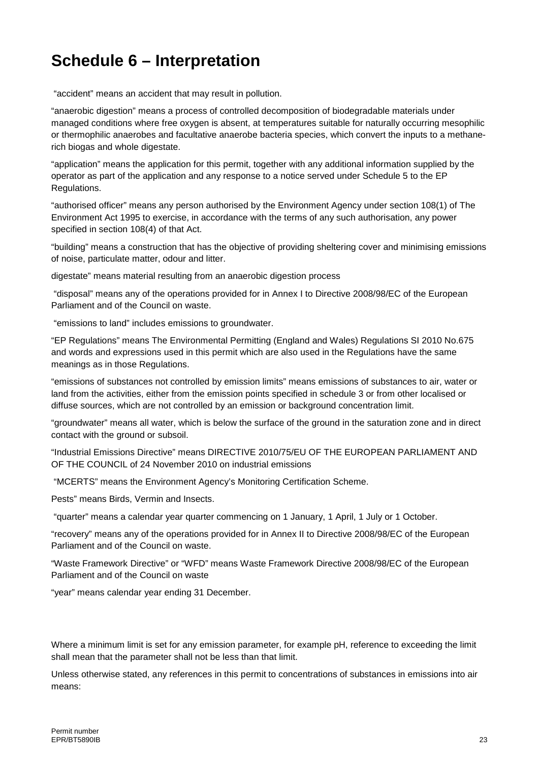# **Schedule 6 – Interpretation**

"accident" means an accident that may result in pollution.

"anaerobic digestion" means a process of controlled decomposition of biodegradable materials under managed conditions where free oxygen is absent, at temperatures suitable for naturally occurring mesophilic or thermophilic anaerobes and facultative anaerobe bacteria species, which convert the inputs to a methanerich biogas and whole digestate.

"application" means the application for this permit, together with any additional information supplied by the operator as part of the application and any response to a notice served under Schedule 5 to the EP Regulations.

"authorised officer" means any person authorised by the Environment Agency under section 108(1) of The Environment Act 1995 to exercise, in accordance with the terms of any such authorisation, any power specified in section 108(4) of that Act.

"building" means a construction that has the objective of providing sheltering cover and minimising emissions of noise, particulate matter, odour and litter.

digestate" means material resulting from an anaerobic digestion process

"disposal" means any of the operations provided for in Annex I to Directive 2008/98/EC of the European Parliament and of the Council on waste.

"emissions to land" includes emissions to groundwater.

"EP Regulations" means The Environmental Permitting (England and Wales) Regulations SI 2010 No.675 and words and expressions used in this permit which are also used in the Regulations have the same meanings as in those Regulations.

"emissions of substances not controlled by emission limits" means emissions of substances to air, water or land from the activities, either from the emission points specified in schedule 3 or from other localised or diffuse sources, which are not controlled by an emission or background concentration limit.

"groundwater" means all water, which is below the surface of the ground in the saturation zone and in direct contact with the ground or subsoil.

"Industrial Emissions Directive" means DIRECTIVE 2010/75/EU OF THE EUROPEAN PARLIAMENT AND OF THE COUNCIL of 24 November 2010 on industrial emissions

"MCERTS" means the Environment Agency's Monitoring Certification Scheme.

Pests" means Birds, Vermin and Insects.

"quarter" means a calendar year quarter commencing on 1 January, 1 April, 1 July or 1 October.

"recovery" means any of the operations provided for in Annex II to Directive 2008/98/EC of the European Parliament and of the Council on waste.

"Waste Framework Directive" or "WFD" means Waste Framework Directive 2008/98/EC of the European Parliament and of the Council on waste

"year" means calendar year ending 31 December.

Where a minimum limit is set for any emission parameter, for example pH, reference to exceeding the limit shall mean that the parameter shall not be less than that limit.

Unless otherwise stated, any references in this permit to concentrations of substances in emissions into air means: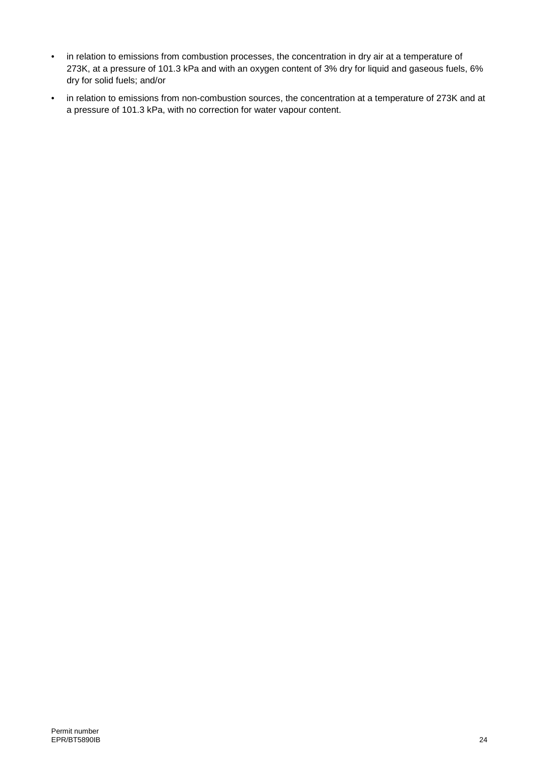- in relation to emissions from combustion processes, the concentration in dry air at a temperature of 273K, at a pressure of 101.3 kPa and with an oxygen content of 3% dry for liquid and gaseous fuels, 6% dry for solid fuels; and/or
- in relation to emissions from non-combustion sources, the concentration at a temperature of 273K and at a pressure of 101.3 kPa, with no correction for water vapour content.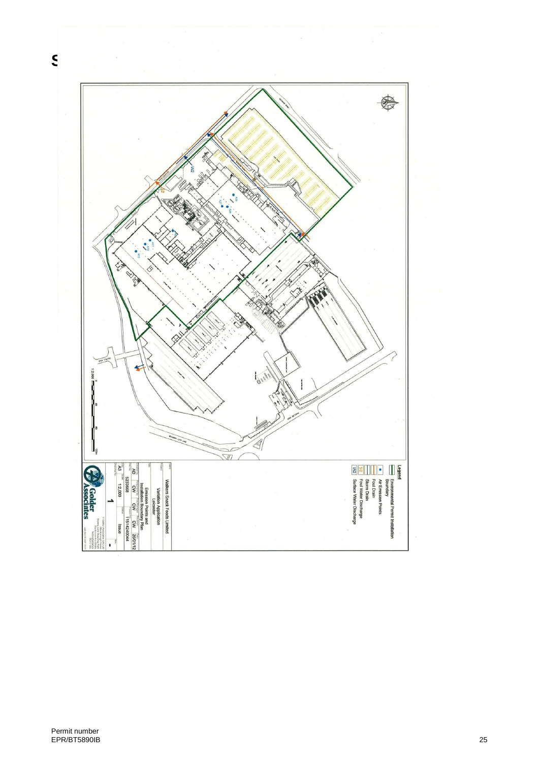